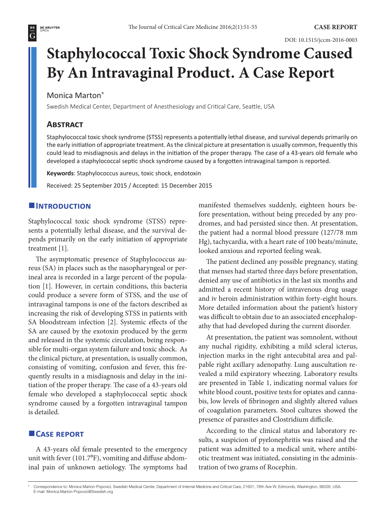# **Staphylococcal Toxic Shock Syndrome Caused By An Intravaginal Product. A Case Report**

# Monica Marton\*

Swedish Medical Center, Department of Anesthesiology and Critical Care, Seattle, USA

# **Abstract**

Staphylococcal toxic shock syndrome (STSS) represents a potentially lethal disease, and survival depends primarily on the early initiation of appropriate treatment. As the clinical picture at presentation is usually common, frequently this could lead to misdiagnosis and delays in the initiation of the proper therapy. The case of a 43-years old female who developed a staphylococcal septic shock syndrome caused by a forgotten intravaginal tampon is reported.

**Keywords**: Staphylococcus aureus, toxic shock, endotoxin

Received: 25 September 2015 / Accepted: 15 December 2015

# $I$ **INTRODUCTION**

Staphylococcal toxic shock syndrome (STSS) represents a potentially lethal disease, and the survival depends primarily on the early initiation of appropriate treatment [1].

The asymptomatic presence of Staphylococcus aureus (SA) in places such as the nasopharyngeal or perineal area is recorded in a large percent of the population [1]. However, in certain conditions, this bacteria could produce a severe form of STSS, and the use of intravaginal tampons is one of the factors described as increasing the risk of developing STSS in patients with SA bloodstream infection [2]. Systemic effects of the SA are caused by the exotoxin produced by the germ and released in the systemic circulation, being responsible for multi-organ system failure and toxic shock. As the clinical picture, at presentation, is usually common, consisting of vomiting, confusion and fever, this frequently results in a misdiagnosis and delay in the initiation of the proper therapy. The case of a 43-years old female who developed a staphylococcal septic shock syndrome caused by a forgotten intravaginal tampon is detailed.

# **Case report**

A 43-years old female presented to the emergency unit with fever  $(101.7\text{°F})$ , vomiting and diffuse abdominal pain of unknown aetiology. The symptoms had manifested themselves suddenly, eighteen hours before presentation, without being preceded by any prodromes, and had persisted since then. At presentation, the patient had a normal blood pressure (127/78 mm Hg), tachycardia, with a heart rate of 100 beats/minute, looked anxious and reported feeling weak.

The patient declined any possible pregnancy, stating that menses had started three days before presentation, denied any use of antibiotics in the last six months and admitted a recent history of intravenous drug usage and iv heroin administration within forty-eight hours. More detailed information about the patient's history was difficult to obtain due to an associated encephalopathy that had developed during the current disorder.

At presentation, the patient was somnolent, without any nuchal rigidity, exhibiting a mild scleral icterus, injection marks in the right antecubital area and palpable right axillary adenopathy. Lung auscultation revealed a mild expiratory wheezing. Laboratory results are presented in Table 1, indicating normal values for white blood count, positive tests for opiates and cannabis, low levels of fibrinogen and slightly altered values of coagulation parameters. Stool cultures showed the presence of parasites and Clostridium difficile.

According to the clinical status and laboratory results, a suspicion of pyelonephritis was raised and the patient was admitted to a medical unit, where antibiotic treatment was initiated, consisting in the administration of two grams of Rocephin.

<sup>\*</sup> Correspondence to: Monica Marton-Popovici, Swedish Medical Center, Department of Internal Medicine and Critical Care, 21601, 76th Ave W, Edmonds, Washington, 98026, USA. E-mail: Monica.Marton-Popovici@Swedish.org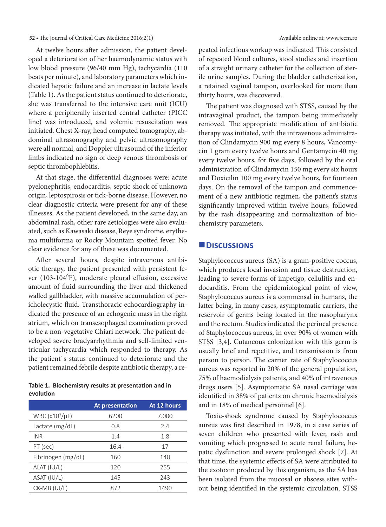#### **52 •** The Journal of Critical Care Medicine 2016;2(1) Available online at: www.jccm.ro

At twelve hours after admission, the patient developed a deterioration of her haemodynamic status with low blood pressure (96/40 mm Hg), tachycardia (110 beats per minute), and laboratory parameters which indicated hepatic failure and an increase in lactate levels (Table 1). As the patient status continued to deteriorate, she was transferred to the intensive care unit (ICU) where a peripherally inserted central catheter (PICC line) was introduced, and volemic resuscitation was initiated. Chest X-ray, head computed tomography, abdominal ultrasonography and pelvic ultrasonography were all normal, and Doppler ultrasound of the inferior limbs indicated no sign of deep venous thrombosis or septic thrombophlebitis.

At that stage, the differential diagnoses were: acute pyelonephritis, endocarditis, septic shock of unknown origin, leptospirosis or tick-borne disease. However, no clear diagnostic criteria were present for any of these illnesses. As the patient developed, in the same day, an abdominal rash, other rare aetiologies were also evaluated, such as Kawasaki disease, Reye syndrome, erythema multiforma or Rocky Mountain spotted fever. No clear evidence for any of these was documented.

After several hours, despite intravenous antibiotic therapy, the patient presented with persistent fever (103-104<sup>°</sup>F), moderate pleural effusion, excessive amount of fluid surrounding the liver and thickened walled gallbladder, with massive accumulation of pericholecystic fluid. Transthoracic echocardiography indicated the presence of an echogenic mass in the right atrium, which on transesophageal examination proved to be a non-vegetative Chiari network. The patient developed severe bradyarrhythmia and self-limited ventricular tachycardia which responded to therapy. As the patient`s status continued to deteriorate and the patient remained febrile despite antibiotic therapy, a re-

#### **Table 1. Biochemistry results at presentation and in evolution**

|                            | At presentation | At 12 hours |
|----------------------------|-----------------|-------------|
| WBC (x10 <sup>3</sup> /µL) | 6200            | 7.000       |
| Lactate (mg/dL)            | 0.8             | 2.4         |
| <b>INR</b>                 | 1.4             | 1.8         |
| PT (sec)                   | 16.4            | 17          |
| Fibrinogen (mg/dL)         | 160             | 140         |
| ALAT (IU/L)                | 120             | 255         |
| ASAT (IU/L)                | 145             | 243         |
| $CK-MB (IU/L)$             | 872             | 1490        |
|                            |                 |             |

peated infectious workup was indicated. This consisted of repeated blood cultures, stool studies and insertion of a straight urinary catheter for the collection of sterile urine samples. During the bladder catheterization, a retained vaginal tampon, overlooked for more than thirty hours, was discovered.

The patient was diagnosed with STSS, caused by the intravaginal product, the tampon being immediately removed. The appropriate modification of antibiotic therapy was initiated, with the intravenous administration of Clindamycin 900 mg every 8 hours, Vancomycin 1 gram every twelve hours and Gentamycin 40 mg every twelve hours, for five days, followed by the oral administration of Clindamycin 150 mg every six hours and Doxicilin 100 mg every twelve hours, for fourteen days. On the removal of the tampon and commencement of a new antibiotic regimen, the patient's status significantly improved within twelve hours, followed by the rash disappearing and normalization of biochemistry parameters.

### **Discussions**

Staphylococcus aureus (SA) is a gram-positive coccus, which produces local invasion and tissue destruction, leading to severe forms of impetigo, cellulitis and endocarditis. From the epidemiological point of view, Staphylococcus aureus is a commensal in humans, the latter being, in many cases, asymptomatic carriers, the reservoir of germs being located in the nasopharynx and the rectum. Studies indicated the perineal presence of Staphylococcus aureus, in over 90% of women with STSS [3,4]. Cutaneous colonization with this germ is usually brief and repetitive, and transmission is from person to person. The carrier rate of Staphylococcus aureus was reported in 20% of the general population, 75% of haemodialysis patients, and 40% of intravenous drugs users [5]. Asymptomatic SA nasal carriage was identified in 38% of patients on chronic haemodialysis and in 18% of medical personnel [6].

Toxic-shock syndrome caused by Staphylococcus aureus was first described in 1978, in a case series of seven children who presented with fever, rash and vomiting which progressed to acute renal failure, hepatic dysfunction and severe prolonged shock [7]. At that time, the systemic effects of SA were attributed to the exotoxin produced by this organism, as the SA has been isolated from the mucosal or abscess sites without being identified in the systemic circulation. STSS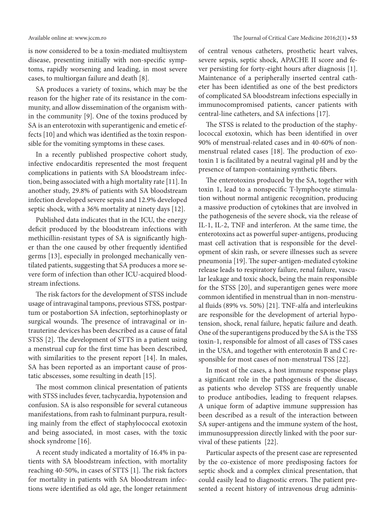is now considered to be a toxin-mediated multisystem disease, presenting initially with non-specific symptoms, rapidly worsening and leading, in most severe cases, to multiorgan failure and death [8].

SA produces a variety of toxins, which may be the reason for the higher rate of its resistance in the community, and allow dissemination of the organism within the community [9]. One of the toxins produced by SA is an enterotoxin with superantigenic and emetic effects [10] and which was identified as the toxin responsible for the vomiting symptoms in these cases.

In a recently published prospective cohort study, infective endocarditis represented the most frequent complications in patients with SA bloodstream infection, being associated with a high mortality rate [11]. In another study, 29.8% of patients with SA bloodstream infection developed severe sepsis and 12.9% developed septic shock, with a 36% mortality at ninety days [12].

Published data indicates that in the ICU, the energy deficit produced by the bloodstream infections with methicillin-resistant types of SA is significantly higher than the one caused by other frequently identified germs [13], especially in prolonged mechanically ventilated patients, suggesting that SA produces a more severe form of infection than other ICU-acquired bloodstream infections.

The risk factors for the development of STSS include usage of intravaginal tampons, previous STSS, postpartum or postabortion SA infection, septorhinoplasty or surgical wounds. The presence of intravaginal or intrauterine devices has been described as a cause of fatal STSS [2]. The development of STTS in a patient using a menstrual cup for the first time has been described, with similarities to the present report [14]. In males, SA has been reported as an important cause of prostatic abscesses, some resulting in death [15].

The most common clinical presentation of patients with STSS includes fever, tachycardia, hypotension and confusion. SA is also responsible for several cutaneous manifestations, from rash to fulminant purpura, resulting mainly from the effect of staphylococcal exotoxin and being associated, in most cases, with the toxic shock syndrome [16].

A recent study indicated a mortality of 16.4% in patients with SA bloodstream infection, with mortality reaching 40-50%, in cases of STTS [1]. The risk factors for mortality in patients with SA bloodstream infections were identified as old age, the longer retainment of central venous catheters, prosthetic heart valves, severe sepsis, septic shock, APACHE II score and fever persisting for forty-eight hours after diagnosis [1]. Maintenance of a peripherally inserted central catheter has been identified as one of the best predictors of complicated SA bloodstream infections especially in immunocompromised patients, cancer patients with central-line catheters, and SA infections [17].

The STSS is related to the production of the staphylococcal exotoxin, which has been identified in over 90% of menstrual-related cases and in 40-60% of nonmenstrual related cases [18]. The production of exotoxin 1 is facilitated by a neutral vaginal pH and by the presence of tampon-containing synthetic fibers.

The enterotoxins produced by the SA, together with toxin 1, lead to a nonspecific T-lymphocyte stimulation without normal antigenic recognition, producing a massive production of cytokines that are involved in the pathogenesis of the severe shock, via the release of IL-1, IL-2, TNF and interferon. At the same time, the enterotoxins act as powerful super-antigens, producing mast cell activation that is responsible for the development of skin rash, or severe illnesses such as severe pneumonia [19]. The super-antigen-mediated cytokine release leads to respiratory failure, renal failure, vascular leakage and toxic shock, being the main responsible for the STSS [20], and superantigen genes were more common identified in menstrual than in non-menstrual fluids (89% vs. 50%) [21]. TNF-alfa and interleukins are responsible for the development of arterial hypotension, shock, renal failure, hepatic failure and death. One of the superantigens produced by the SA is the TSS toxin-1, responsible for almost of all cases of TSS cases in the USA, and together with enterotoxin B and C responsible for most cases of non-menstrual TSS [22].

In most of the cases, a host immune response plays a significant role in the pathogenesis of the disease, as patients who develop STSS are frequently unable to produce antibodies, leading to frequent relapses. A unique form of adaptive immune suppression has been described as a result of the interaction between SA super-antigens and the immune system of the host, immunosuppression directly linked with the poor survival of these patients [22].

Particular aspects of the present case are represented by the co-existence of more predisposing factors for septic shock and a complex clinical presentation, that could easily lead to diagnostic errors. The patient presented a recent history of intravenous drug adminis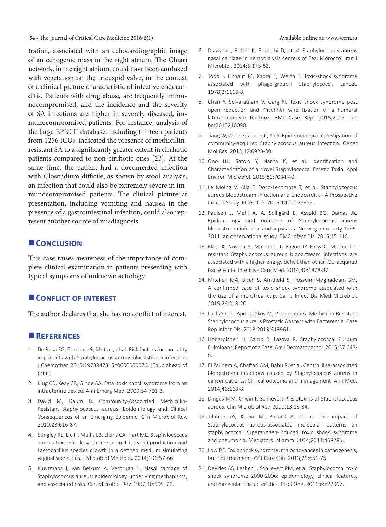**54 • The Journal of Critical Care Medicine 2016;2(1)** Available online at: www.jccm.ro

tration, associated with an echocardiographic image of an echogenic mass in the right atrium. The Chiari network, in the right atrium, could have been confused with vegetation on the tricuspid valve, in the context of a clinical picture characteristic of infective endocarditis. Patients with drug abuse, are frequently immunocompromised, and the incidence and the severity of SA infections are higher in severely diseased, immunocompromised patients. For instance, analysis of the large EPIC II database, including thirteen patients from 1256 ICUs, indicated the presence of methicillinresistant SA to a significantly greater extent in cirrhotic patients compared to non-cirrhotic ones [23]. At the same time, the patient had a documented infection with Clostridium difficile, as shown by stool analysis, an infection that could also be extremely severe in immunocompromised patients. The clinical picture at presentation, including vomiting and nausea in the presence of a gastrointestinal infection, could also represent another source of misdiagnosis.

# **CONCLUSION**

This case raises awareness of the importance of complete clinical examination in patients presenting with typical symptoms of unknown aetiology.

# **CONFLICT OF INTEREST**

The author declares that she has no conflict of interest.

# **References**

- 1. De Rosa FG, Corcione S, Motta I, et al. Risk factors for mortality in patients with Staphylococcus aureus bloodstream infection. J Chemother. 2015:1973947815Y0000000076. [Epub ahead of print]
- 2. Klug CD, Keay CR, Ginde AA. Fatal toxic shock syndrome from an intrauterine device. Ann Emerg Med. 2009;54:701-3.
- 3. David M, Daum R. Community-Associated Methicillin-Resistant Staphylococcus aureus: Epidemiology and Clinical Consequences of an Emerging Epidemic. Clin Microbiol Rev. 2010;23:616-87.
- 4. Stingley RL, Liu H, Mullis LB, Elkins CA, Hart ME. Staphylococcus aureus toxic shock syndrome toxin-1 (TSST-1) production and Lactobacillus species growth in a defined medium simulating vaginal secretions. J Microbiol Methods. 2014;106:57-66.
- 5. Kluytmans J, van Belkum A, Verbrugh H. Nasal carriage of Staphylococcus aureus: epidemiology, underlying mechanisms, and associated risks. Clin Microbiol Rev. 1997;10:505–20.
- 6. Diawara I, Bekhti K, Elhabchi D, et al. Staphylococcus aureus nasal carriage in hemodialysis centers of Fez, Morocco. Iran J Microbiol. 2014;6:175-83.
- 7. Todd J, Fishaut M, Kapral F, Welch T. Toxic-shock syndrome associated with phage-group-I Staphylococci. Lancet. 1978;2:1116-8.
- 8. Chan Y, Selvaratnam V, Garg N. Toxic shock syndrome post open reduction and Kirschner wire fixation of a humeral lateral condyle fracture. BMJ Case Rep. 2015;2015. pii: bcr2015210090.
- 9. Jiang W, Zhou Z, Zhang K, Yu Y. Epidemiological investigation of community-acquired Staphylococcus aureus infection. Genet Mol Res. 2013;12:6923-30.
- 10. Ono HK, Sato'o Y, Narita K, et al. Identification and Characterization of a Novel Staphylococcal Emetic Toxin. Appl Environ Microbiol. 2015;81:7034-40.
- 11. Le Moing V, Alla F, Doco-Lecompte T, et al. Staphylococcus aureus Bloodstream Infection and Endocarditis- A Prospective Cohort Study. PLoS One. 2015;10:e0127385.
- 12. Paulsen J, Mehl A, A, Solligard E, Asvold BO, Damas JK. Epidemiology and outcome of Staphylococcus aureus bloodstream infection and sepsis in a Norwegian county 1996- 2011: an observational study. BMC Infect Dis. 2015;15:116.
- 13. Ekpe K, Novara A, Mainardi JL, Fagon JY, Faisy C. Methicillinresistant Staphylococcus aureus bloodstream infections are associated with a higher energy deficit than other ICU-acquired bacteremia. Intensive Care Med. 2014;40:1878-87.
- 14. Mitchell MA, Bisch S, Arntfield S, Hosseini-Moghaddam SM. A confirmed case of toxic shock syndrome associated with the use of a menstrual cup. Can J Infect Dis Med Microbiol. 2015;26:218-20.
- 15. Lachant DJ, Apostolakos M, Pietropaoli A. Methicillin Resistant Staphylococcus aureus Prostatic Abscess with Bacteremia. Case Rep Infect Dis. 2013;2013:613961.
- 16. Honarpisheh H, Camp R, Lazova R. Staphylococcal Purpura Fulminans: Report of a Case. Am J Dermatopathol. 2015;37:643- 6.
- 17. El Zakhem A, Chaftari AM, Bahu R, et al. Central line-associated bloodstream infections caused by Staphylococcus aureus in cancer patients: Clinical outcome and management. Ann Med. 2014;46:163-8.
- 18. Dinges MM, Orwin P, Schlievert P. Exotoxins of Staphyloccocus aureus. Clin Microbiol Rev. 2000;13:16-34.
- 19. Tilahun AY, Karau M, Ballard A, et al. The impact of Staphylococcus aureus-associated molecular patterns on staphylococcal superantigen-induced toxic shock syndrome and pneumonia. Mediators Inflamm. 2014;2014:468285.
- 20. Low DE. Toxic shock syndrome: major advances in pathogenesis, but not treatment. Crit Care Clin. 2013;29:651-75.
- 21. DeVries AS, Lesher L, Schlievert PM, et al. Staphylococcal toxic shock syndrome 2000-2006: epidemiology, clinical features, and molecular characteristics. PLoS One. 2011;6:e22997.